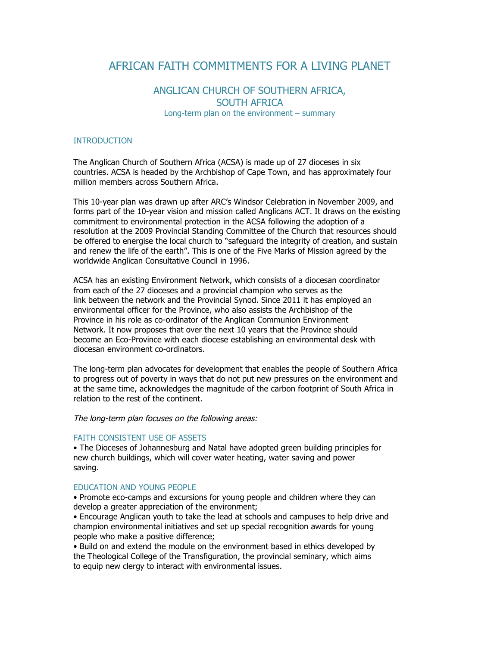# AFRICAN FAITH COMMITMENTS FOR A LIVING PLANET

# ANGLICAN CHURCH OF SOUTHERN AFRICA, SOUTH AFRICA Long-term plan on the environment – summary

#### INTRODUCTION

The Anglican Church of Southern Africa (ACSA) is made up of 27 dioceses in six countries. ACSA is headed by the Archbishop of Cape Town, and has approximately four million members across Southern Africa.

This 10-year plan was drawn up after ARC's Windsor Celebration in November 2009, and forms part of the 10-year vision and mission called Anglicans ACT. It draws on the existing commitment to environmental protection in the ACSA following the adoption of a resolution at the 2009 Provincial Standing Committee of the Church that resources should be offered to energise the local church to "safeguard the integrity of creation, and sustain and renew the life of the earth". This is one of the Five Marks of Mission agreed by the worldwide Anglican Consultative Council in 1996.

ACSA has an existing Environment Network, which consists of a diocesan coordinator from each of the 27 dioceses and a provincial champion who serves as the link between the network and the Provincial Synod. Since 2011 it has employed an environmental officer for the Province, who also assists the Archbishop of the Province in his role as co-ordinator of the Anglican Communion Environment Network. It now proposes that over the next 10 years that the Province should become an Eco-Province with each diocese establishing an environmental desk with diocesan environment co-ordinators.

The long-term plan advocates for development that enables the people of Southern Africa to progress out of poverty in ways that do not put new pressures on the environment and at the same time, acknowledges the magnitude of the carbon footprint of South Africa in relation to the rest of the continent.

The long-term plan focuses on the following areas:

#### FAITH CONSISTENT USE OF ASSETS

• The Dioceses of Johannesburg and Natal have adopted green building principles for new church buildings, which will cover water heating, water saving and power saving.

#### EDUCATION AND YOUNG PEOPLE

• Promote eco-camps and excursions for young people and children where they can develop a greater appreciation of the environment;

• Encourage Anglican youth to take the lead at schools and campuses to help drive and champion environmental initiatives and set up special recognition awards for young people who make a positive difference;

• Build on and extend the module on the environment based in ethics developed by the Theological College of the Transfiguration, the provincial seminary, which aims to equip new clergy to interact with environmental issues.